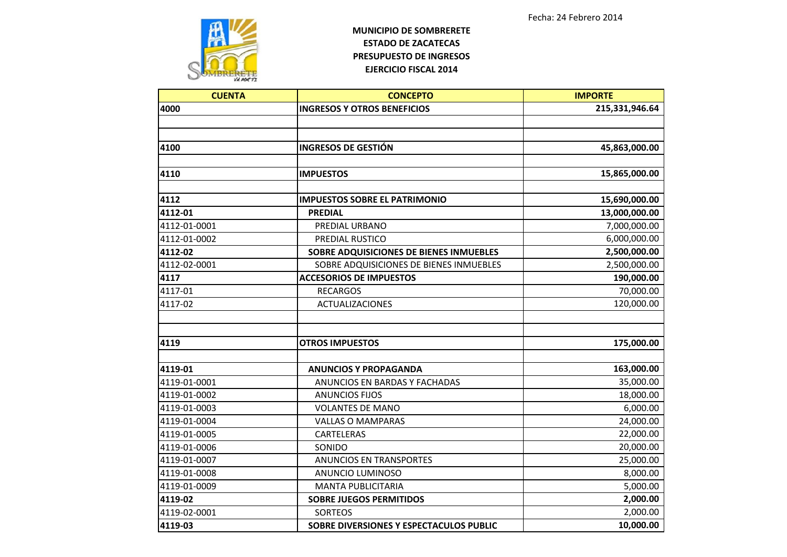

| <b>CUENTA</b> | <b>CONCEPTO</b>                         | <b>IMPORTE</b> |
|---------------|-----------------------------------------|----------------|
| 4000          | <b>INGRESOS Y OTROS BENEFICIOS</b>      | 215,331,946.64 |
|               |                                         |                |
|               |                                         |                |
| 4100          | <b>INGRESOS DE GESTIÓN</b>              | 45,863,000.00  |
|               |                                         |                |
| 4110          | <b>IMPUESTOS</b>                        | 15,865,000.00  |
|               |                                         |                |
| 4112          | <b>IMPUESTOS SOBRE EL PATRIMONIO</b>    | 15,690,000.00  |
| 4112-01       | <b>PREDIAL</b>                          | 13,000,000.00  |
| 4112-01-0001  | PREDIAL URBANO                          | 7,000,000.00   |
| 4112-01-0002  | PREDIAL RUSTICO                         | 6,000,000.00   |
| 4112-02       | SOBRE ADQUISICIONES DE BIENES INMUEBLES | 2,500,000.00   |
| 4112-02-0001  | SOBRE ADQUISICIONES DE BIENES INMUEBLES | 2,500,000.00   |
| 4117          | <b>ACCESORIOS DE IMPUESTOS</b>          | 190,000.00     |
| 4117-01       | <b>RECARGOS</b>                         | 70,000.00      |
| 4117-02       | <b>ACTUALIZACIONES</b>                  | 120,000.00     |
|               |                                         |                |
|               |                                         |                |
| 4119          | <b>OTROS IMPUESTOS</b>                  | 175,000.00     |
|               |                                         |                |
| 4119-01       | <b>ANUNCIOS Y PROPAGANDA</b>            | 163,000.00     |
| 4119-01-0001  | ANUNCIOS EN BARDAS Y FACHADAS           | 35,000.00      |
| 4119-01-0002  | <b>ANUNCIOS FIJOS</b>                   | 18,000.00      |
| 4119-01-0003  | <b>VOLANTES DE MANO</b>                 | 6,000.00       |
| 4119-01-0004  | <b>VALLAS O MAMPARAS</b>                | 24,000.00      |
| 4119-01-0005  | CARTELERAS                              | 22,000.00      |
| 4119-01-0006  | SONIDO                                  | 20,000.00      |
| 4119-01-0007  | <b>ANUNCIOS EN TRANSPORTES</b>          | 25,000.00      |
| 4119-01-0008  | ANUNCIO LUMINOSO                        | 8,000.00       |
| 4119-01-0009  | <b>MANTA PUBLICITARIA</b>               | 5,000.00       |
| 4119-02       | <b>SOBRE JUEGOS PERMITIDOS</b>          | 2,000.00       |
| 4119-02-0001  | <b>SORTEOS</b>                          | 2,000.00       |
| 4119-03       | SOBRE DIVERSIONES Y ESPECTACULOS PUBLIC | 10,000.00      |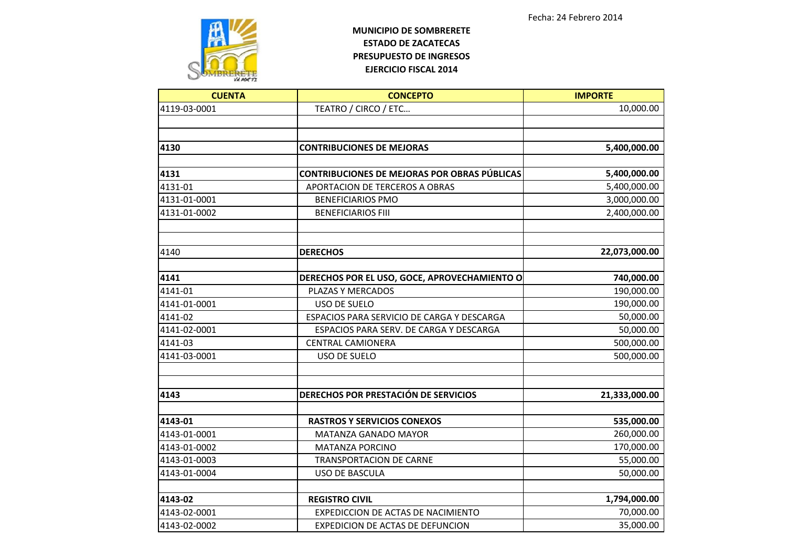

| <b>CUENTA</b> | <b>CONCEPTO</b>                                                   | <b>IMPORTE</b>           |
|---------------|-------------------------------------------------------------------|--------------------------|
| 4119-03-0001  | TEATRO / CIRCO / ETC                                              | 10,000.00                |
|               |                                                                   |                          |
|               |                                                                   |                          |
| 4130          | <b>CONTRIBUCIONES DE MEJORAS</b>                                  | 5,400,000.00             |
| 4131          | <b>CONTRIBUCIONES DE MEJORAS POR OBRAS PÚBLICAS</b>               | 5,400,000.00             |
| 4131-01       | APORTACION DE TERCEROS A OBRAS                                    | 5,400,000.00             |
| 4131-01-0001  | <b>BENEFICIARIOS PMO</b>                                          | 3,000,000.00             |
| 4131-01-0002  | <b>BENEFICIARIOS FIII</b>                                         | 2,400,000.00             |
|               |                                                                   |                          |
| 4140          | <b>DERECHOS</b>                                                   | 22,073,000.00            |
| 4141          |                                                                   |                          |
| 4141-01       | DERECHOS POR EL USO, GOCE, APROVECHAMIENTO O<br>PLAZAS Y MERCADOS | 740,000.00<br>190,000.00 |
| 4141-01-0001  | <b>USO DE SUELO</b>                                               | 190,000.00               |
| 4141-02       | ESPACIOS PARA SERVICIO DE CARGA Y DESCARGA                        | 50,000.00                |
| 4141-02-0001  | ESPACIOS PARA SERV. DE CARGA Y DESCARGA                           | 50,000.00                |
| 4141-03       | <b>CENTRAL CAMIONERA</b>                                          | 500,000.00               |
| 4141-03-0001  | USO DE SUELO                                                      | 500,000.00               |
|               |                                                                   |                          |
| 4143          | DERECHOS POR PRESTACIÓN DE SERVICIOS                              | 21,333,000.00            |
| 4143-01       | <b>RASTROS Y SERVICIOS CONEXOS</b>                                | 535,000.00               |
| 4143-01-0001  | <b>MATANZA GANADO MAYOR</b>                                       | 260,000.00               |
| 4143-01-0002  | <b>MATANZA PORCINO</b>                                            | 170,000.00               |
| 4143-01-0003  | <b>TRANSPORTACION DE CARNE</b>                                    | 55,000.00                |
| 4143-01-0004  | <b>USO DE BASCULA</b>                                             | 50,000.00                |
| 4143-02       | <b>REGISTRO CIVIL</b>                                             | 1,794,000.00             |
| 4143-02-0001  | EXPEDICCION DE ACTAS DE NACIMIENTO                                | 70,000.00                |
| 4143-02-0002  | <b>EXPEDICION DE ACTAS DE DEFUNCION</b>                           | 35,000.00                |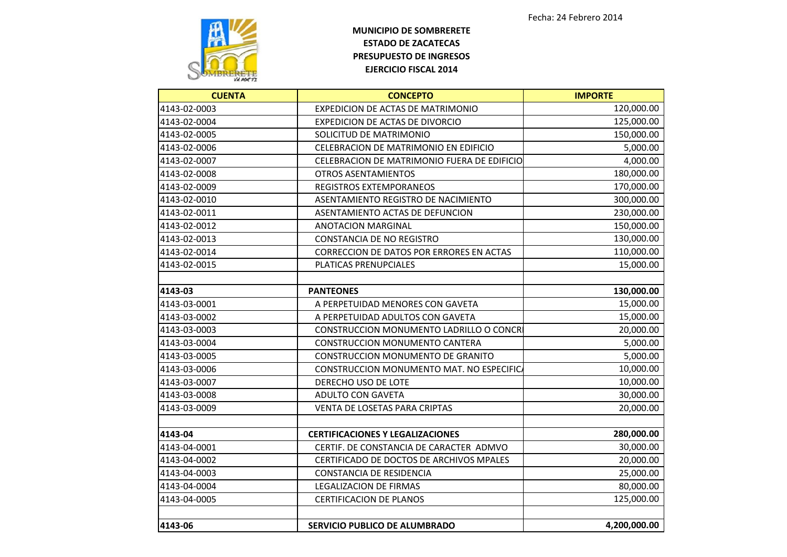

| <b>CUENTA</b> | <b>CONCEPTO</b>                             | <b>IMPORTE</b> |
|---------------|---------------------------------------------|----------------|
| 4143-02-0003  | EXPEDICION DE ACTAS DE MATRIMONIO           | 120,000.00     |
| 4143-02-0004  | <b>EXPEDICION DE ACTAS DE DIVORCIO</b>      | 125,000.00     |
| 4143-02-0005  | SOLICITUD DE MATRIMONIO                     | 150,000.00     |
| 4143-02-0006  | CELEBRACION DE MATRIMONIO EN EDIFICIO       | 5,000.00       |
| 4143-02-0007  | CELEBRACION DE MATRIMONIO FUERA DE EDIFICIO | 4,000.00       |
| 4143-02-0008  | <b>OTROS ASENTAMIENTOS</b>                  | 180,000.00     |
| 4143-02-0009  | <b>REGISTROS EXTEMPORANEOS</b>              | 170,000.00     |
| 4143-02-0010  | ASENTAMIENTO REGISTRO DE NACIMIENTO         | 300,000.00     |
| 4143-02-0011  | ASENTAMIENTO ACTAS DE DEFUNCION             | 230,000.00     |
| 4143-02-0012  | <b>ANOTACION MARGINAL</b>                   | 150,000.00     |
| 4143-02-0013  | <b>CONSTANCIA DE NO REGISTRO</b>            | 130,000.00     |
| 4143-02-0014  | CORRECCION DE DATOS POR ERRORES EN ACTAS    | 110,000.00     |
| 4143-02-0015  | PLATICAS PRENUPCIALES                       | 15,000.00      |
|               |                                             |                |
| 4143-03       | <b>PANTEONES</b>                            | 130,000.00     |
| 4143-03-0001  | A PERPETUIDAD MENORES CON GAVETA            | 15,000.00      |
| 4143-03-0002  | A PERPETUIDAD ADULTOS CON GAVETA            | 15,000.00      |
| 4143-03-0003  | CONSTRUCCION MONUMENTO LADRILLO O CONCR     | 20,000.00      |
| 4143-03-0004  | CONSTRUCCION MONUMENTO CANTERA              | 5,000.00       |
| 4143-03-0005  | <b>CONSTRUCCION MONUMENTO DE GRANITO</b>    | 5,000.00       |
| 4143-03-0006  | CONSTRUCCION MONUMENTO MAT. NO ESPECIFICA   | 10,000.00      |
| 4143-03-0007  | DERECHO USO DE LOTE                         | 10,000.00      |
| 4143-03-0008  | ADULTO CON GAVETA                           | 30,000.00      |
| 4143-03-0009  | VENTA DE LOSETAS PARA CRIPTAS               | 20,000.00      |
|               |                                             |                |
| 4143-04       | <b>CERTIFICACIONES Y LEGALIZACIONES</b>     | 280,000.00     |
| 4143-04-0001  | CERTIF. DE CONSTANCIA DE CARACTER ADMVO     | 30,000.00      |
| 4143-04-0002  | CERTIFICADO DE DOCTOS DE ARCHIVOS MPALES    | 20,000.00      |
| 4143-04-0003  | <b>CONSTANCIA DE RESIDENCIA</b>             | 25,000.00      |
| 4143-04-0004  | <b>LEGALIZACION DE FIRMAS</b>               | 80,000.00      |
| 4143-04-0005  | <b>CERTIFICACION DE PLANOS</b>              | 125,000.00     |
| 4143-06       | SERVICIO PUBLICO DE ALUMBRADO               | 4,200,000.00   |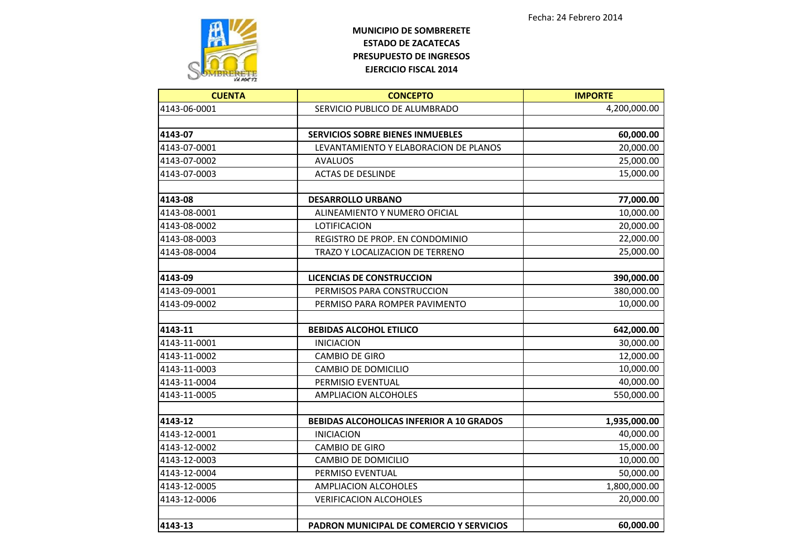

| <b>CUENTA</b> | <b>CONCEPTO</b>                                 | <b>IMPORTE</b> |
|---------------|-------------------------------------------------|----------------|
| 4143-06-0001  | SERVICIO PUBLICO DE ALUMBRADO                   | 4,200,000.00   |
|               |                                                 |                |
| 4143-07       | <b>SERVICIOS SOBRE BIENES INMUEBLES</b>         | 60,000.00      |
| 4143-07-0001  | LEVANTAMIENTO Y ELABORACION DE PLANOS           | 20,000.00      |
| 4143-07-0002  | <b>AVALUOS</b>                                  | 25,000.00      |
| 4143-07-0003  | <b>ACTAS DE DESLINDE</b>                        | 15,000.00      |
| 4143-08       | <b>DESARROLLO URBANO</b>                        | 77,000.00      |
| 4143-08-0001  | ALINEAMIENTO Y NUMERO OFICIAL                   | 10,000.00      |
| 4143-08-0002  | LOTIFICACION                                    | 20,000.00      |
| 4143-08-0003  | REGISTRO DE PROP. EN CONDOMINIO                 | 22,000.00      |
| 4143-08-0004  | TRAZO Y LOCALIZACION DE TERRENO                 | 25,000.00      |
| 4143-09       | <b>LICENCIAS DE CONSTRUCCION</b>                | 390,000.00     |
| 4143-09-0001  | PERMISOS PARA CONSTRUCCION                      | 380,000.00     |
| 4143-09-0002  | PERMISO PARA ROMPER PAVIMENTO                   | 10,000.00      |
|               |                                                 |                |
| 4143-11       | <b>BEBIDAS ALCOHOL ETILICO</b>                  | 642,000.00     |
| 4143-11-0001  | <b>INICIACION</b>                               | 30,000.00      |
| 4143-11-0002  | <b>CAMBIO DE GIRO</b>                           | 12,000.00      |
| 4143-11-0003  | CAMBIO DE DOMICILIO                             | 10,000.00      |
| 4143-11-0004  | PERMISIO EVENTUAL                               | 40,000.00      |
| 4143-11-0005  | <b>AMPLIACION ALCOHOLES</b>                     | 550,000.00     |
| 4143-12       | <b>BEBIDAS ALCOHOLICAS INFERIOR A 10 GRADOS</b> | 1,935,000.00   |
| 4143-12-0001  | <b>INICIACION</b>                               | 40,000.00      |
| 4143-12-0002  | <b>CAMBIO DE GIRO</b>                           | 15,000.00      |
| 4143-12-0003  | CAMBIO DE DOMICILIO                             | 10,000.00      |
| 4143-12-0004  | PERMISO EVENTUAL                                | 50,000.00      |
| 4143-12-0005  | <b>AMPLIACION ALCOHOLES</b>                     | 1,800,000.00   |
| 4143-12-0006  | <b>VERIFICACION ALCOHOLES</b>                   | 20,000.00      |
| 4143-13       | PADRON MUNICIPAL DE COMERCIO Y SERVICIOS        | 60,000.00      |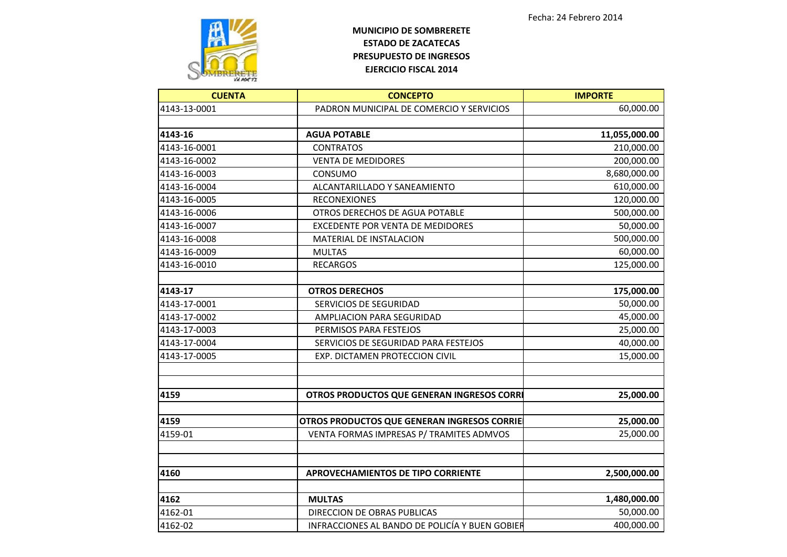

| <b>CUENTA</b> | <b>CONCEPTO</b>                                | <b>IMPORTE</b> |
|---------------|------------------------------------------------|----------------|
| 4143-13-0001  | PADRON MUNICIPAL DE COMERCIO Y SERVICIOS       | 60,000.00      |
|               |                                                |                |
| 4143-16       | <b>AGUA POTABLE</b>                            | 11,055,000.00  |
| 4143-16-0001  | <b>CONTRATOS</b>                               | 210,000.00     |
| 4143-16-0002  | <b>VENTA DE MEDIDORES</b>                      | 200,000.00     |
| 4143-16-0003  | CONSUMO                                        | 8,680,000.00   |
| 4143-16-0004  | ALCANTARILLADO Y SANEAMIENTO                   | 610,000.00     |
| 4143-16-0005  | <b>RECONEXIONES</b>                            | 120,000.00     |
| 4143-16-0006  | OTROS DERECHOS DE AGUA POTABLE                 | 500,000.00     |
| 4143-16-0007  | <b>EXCEDENTE POR VENTA DE MEDIDORES</b>        | 50,000.00      |
| 4143-16-0008  | MATERIAL DE INSTALACION                        | 500,000.00     |
| 4143-16-0009  | <b>MULTAS</b>                                  | 60,000.00      |
| 4143-16-0010  | <b>RECARGOS</b>                                | 125,000.00     |
| 4143-17       | <b>OTROS DERECHOS</b>                          | 175,000.00     |
| 4143-17-0001  | SERVICIOS DE SEGURIDAD                         | 50,000.00      |
| 4143-17-0002  | AMPLIACION PARA SEGURIDAD                      | 45,000.00      |
| 4143-17-0003  | PERMISOS PARA FESTEJOS                         | 25,000.00      |
| 4143-17-0004  | SERVICIOS DE SEGURIDAD PARA FESTEJOS           | 40,000.00      |
| 4143-17-0005  | EXP. DICTAMEN PROTECCION CIVIL                 | 15,000.00      |
| 4159          | OTROS PRODUCTOS QUE GENERAN INGRESOS CORRI     | 25,000.00      |
| 4159          | OTROS PRODUCTOS QUE GENERAN INGRESOS CORRIE    | 25,000.00      |
| 4159-01       | VENTA FORMAS IMPRESAS P/ TRAMITES ADMVOS       | 25,000.00      |
|               |                                                |                |
| 4160          | <b>APROVECHAMIENTOS DE TIPO CORRIENTE</b>      | 2,500,000.00   |
| 4162          | <b>MULTAS</b>                                  | 1,480,000.00   |
| 4162-01       | <b>DIRECCION DE OBRAS PUBLICAS</b>             | 50,000.00      |
| 4162-02       | INFRACCIONES AL BANDO DE POLICÍA Y BUEN GOBIER | 400,000.00     |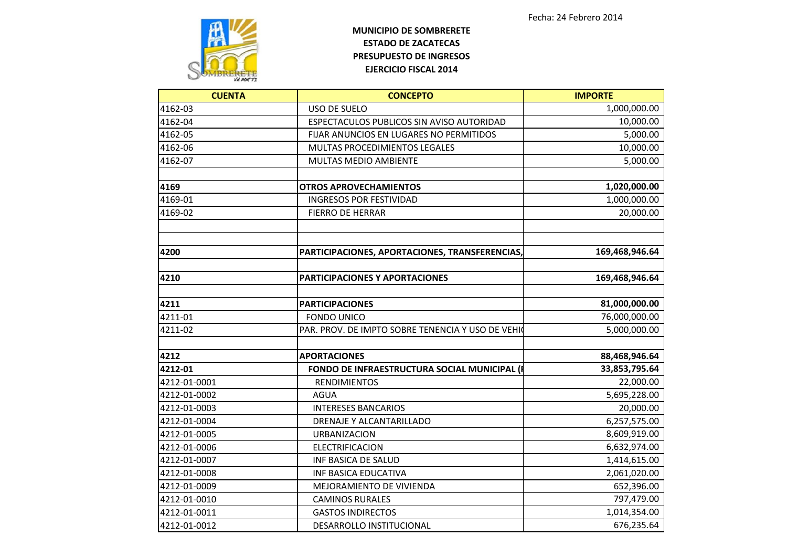

| <b>CUENTA</b> | <b>CONCEPTO</b>                                   | <b>IMPORTE</b> |
|---------------|---------------------------------------------------|----------------|
| 4162-03       | <b>USO DE SUELO</b>                               | 1,000,000.00   |
| 4162-04       | ESPECTACULOS PUBLICOS SIN AVISO AUTORIDAD         | 10,000.00      |
| 4162-05       | FIJAR ANUNCIOS EN LUGARES NO PERMITIDOS           | 5,000.00       |
| 4162-06       | <b>MULTAS PROCEDIMIENTOS LEGALES</b>              | 10,000.00      |
| 4162-07       | <b>MULTAS MEDIO AMBIENTE</b>                      | 5,000.00       |
| 4169          | <b>OTROS APROVECHAMIENTOS</b>                     | 1,020,000.00   |
| 4169-01       | <b>INGRESOS POR FESTIVIDAD</b>                    | 1,000,000.00   |
| 4169-02       | <b>FIERRO DE HERRAR</b>                           | 20,000.00      |
| 4200          | PARTICIPACIONES, APORTACIONES, TRANSFERENCIAS,    | 169,468,946.64 |
| 4210          | <b>PARTICIPACIONES Y APORTACIONES</b>             | 169,468,946.64 |
| 4211          | <b>PARTICIPACIONES</b>                            | 81,000,000.00  |
| 4211-01       | <b>FONDO UNICO</b>                                | 76,000,000.00  |
| 4211-02       | PAR. PROV. DE IMPTO SOBRE TENENCIA Y USO DE VEHIO | 5,000,000.00   |
| 4212          | <b>APORTACIONES</b>                               | 88,468,946.64  |
| 4212-01       | FONDO DE INFRAESTRUCTURA SOCIAL MUNICIPAL (I      | 33,853,795.64  |
| 4212-01-0001  | <b>RENDIMIENTOS</b>                               | 22,000.00      |
| 4212-01-0002  | <b>AGUA</b>                                       | 5,695,228.00   |
| 4212-01-0003  | <b>INTERESES BANCARIOS</b>                        | 20,000.00      |
| 4212-01-0004  | DRENAJE Y ALCANTARILLADO                          | 6,257,575.00   |
| 4212-01-0005  | <b>URBANIZACION</b>                               | 8,609,919.00   |
| 4212-01-0006  | <b>ELECTRIFICACION</b>                            | 6,632,974.00   |
| 4212-01-0007  | <b>INF BASICA DE SALUD</b>                        | 1,414,615.00   |
| 4212-01-0008  | <b>INF BASICA EDUCATIVA</b>                       | 2,061,020.00   |
| 4212-01-0009  | MEJORAMIENTO DE VIVIENDA                          | 652,396.00     |
| 4212-01-0010  | <b>CAMINOS RURALES</b>                            | 797,479.00     |
| 4212-01-0011  | <b>GASTOS INDIRECTOS</b>                          | 1,014,354.00   |
| 4212-01-0012  | DESARROLLO INSTITUCIONAL                          | 676,235.64     |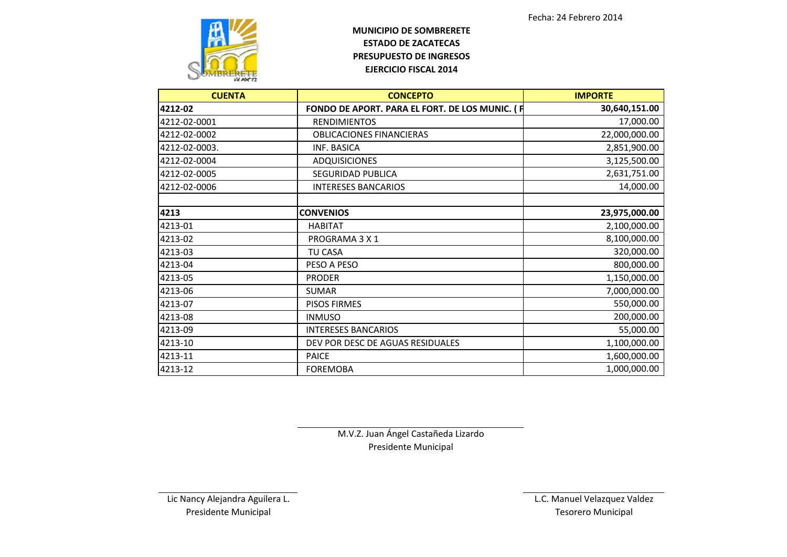

| <b>CUENTA</b> | <b>CONCEPTO</b>                                | <b>IMPORTE</b> |
|---------------|------------------------------------------------|----------------|
| 4212-02       | FONDO DE APORT. PARA EL FORT. DE LOS MUNIC. (F | 30,640,151.00  |
| 4212-02-0001  | <b>RENDIMIENTOS</b>                            | 17,000.00      |
| 4212-02-0002  | <b>OBLICACIONES FINANCIERAS</b>                | 22,000,000.00  |
| 4212-02-0003. | INF. BASICA                                    | 2,851,900.00   |
| 4212-02-0004  | <b>ADQUISICIONES</b>                           | 3,125,500.00   |
| 4212-02-0005  | <b>SEGURIDAD PUBLICA</b>                       | 2,631,751.00   |
| 4212-02-0006  | <b>INTERESES BANCARIOS</b>                     | 14,000.00      |
| 4213          | <b>CONVENIOS</b>                               | 23,975,000.00  |
| 4213-01       | <b>HABITAT</b>                                 | 2,100,000.00   |
| 4213-02       | PROGRAMA 3 X 1                                 | 8,100,000.00   |
| 4213-03       | <b>TU CASA</b>                                 | 320,000.00     |
| 4213-04       | PESO A PESO                                    | 800,000.00     |
| 4213-05       | <b>PRODER</b>                                  | 1,150,000.00   |
| 4213-06       | <b>SUMAR</b>                                   | 7,000,000.00   |
| 4213-07       | <b>PISOS FIRMES</b>                            | 550,000.00     |
| 4213-08       | <b>INMUSO</b>                                  | 200,000.00     |
| 4213-09       | <b>INTERESES BANCARIOS</b>                     | 55,000.00      |
| 4213-10       | DEV POR DESC DE AGUAS RESIDUALES               | 1,100,000.00   |
| 4213-11       | <b>PAICE</b>                                   | 1,600,000.00   |
| 4213-12       | <b>FOREMOBA</b>                                | 1,000,000.00   |

M.V.Z. Juan Ángel Castañeda Lizardo Presidente Municipal

Lic Nancy Alejandra Aguilera L. L.C. Manuel Velazquez Valdez Presidente Municipal **Tesorero Municipal**